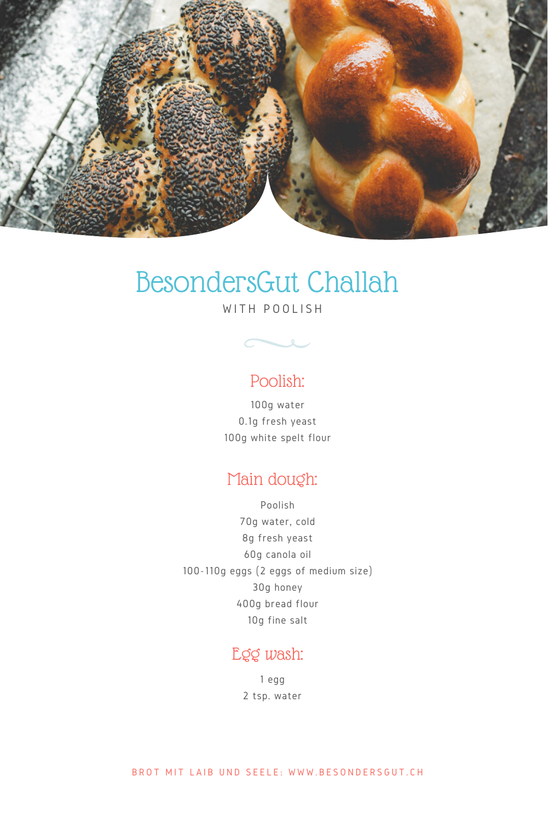

# BesondersGut Challah

WITH POOLISH



## Poolish:

100g water 0.1g fresh yeast 100g white spelt flour

## Main dough:

Poolish 70g water, cold 8g fresh yeast 60g canola oil 100-110g eggs (2 eggs of medium size) 30g honey 400g bread flour 10g fine salt

### Egg wash:

1 egg 2 tsp. water